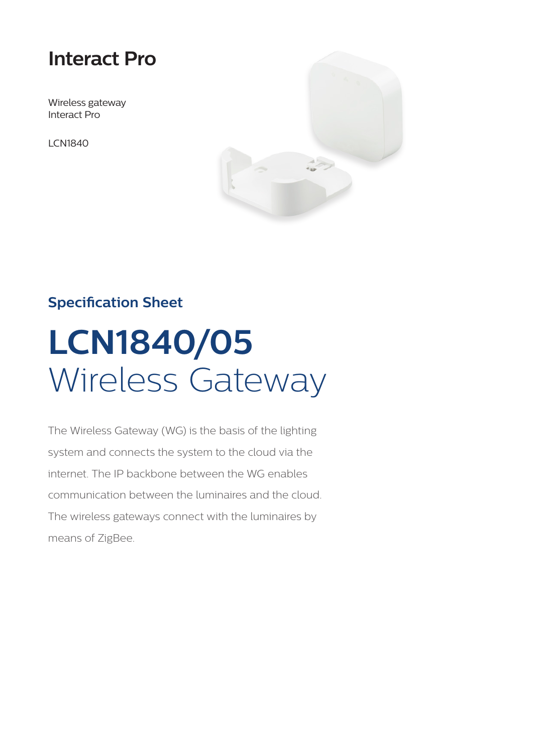# **Interact Pro**

Wireless gateway Interact Pro

LCN1840



# **Specification Sheet**

# **LCN1840/05**  Wireless Gateway

The Wireless Gateway (WG) is the basis of the lighting system and connects the system to the cloud via the internet. The IP backbone between the WG enables communication between the luminaires and the cloud. The wireless gateways connect with the luminaires by means of ZigBee.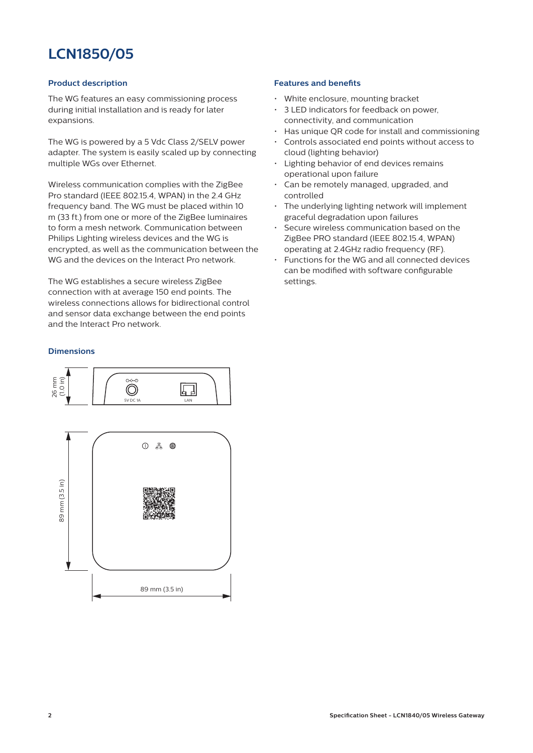# **LCN1850/05**

# **Product description**

The WG features an easy commissioning process during initial installation and is ready for later expansions.

The WG is powered by a 5 Vdc Class 2/SELV power adapter. The system is easily scaled up by connecting multiple WGs over Ethernet.

Wireless communication complies with the ZigBee Pro standard (IEEE 802.15.4, WPAN) in the 2.4 GHz frequency band. The WG must be placed within 10 m (33 ft.) from one or more of the ZigBee luminaires to form a mesh network. Communication between Philips Lighting wireless devices and the WG is encrypted, as well as the communication between the WG and the devices on the Interact Pro network.

The WG establishes a secure wireless ZigBee connection with at average 150 end points. The wireless connections allows for bidirectional control and sensor data exchange between the end points and the Interact Pro network.

# **Dimensions**



# **Features and benefits**

- White enclosure, mounting bracket
- 3 LED indicators for feedback on power, connectivity, and communication
- Has unique QR code for install and commissioning
- Controls associated end points without access to cloud (lighting behavior)
- Lighting behavior of end devices remains operational upon failure
- Can be remotely managed, upgraded, and controlled
- The underlying lighting network will implement graceful degradation upon failures
- Secure wireless communication based on the ZigBee PRO standard (IEEE 802.15.4, WPAN) operating at 2.4GHz radio frequency (RF).
- Functions for the WG and all connected devices can be modified with software configurable settings.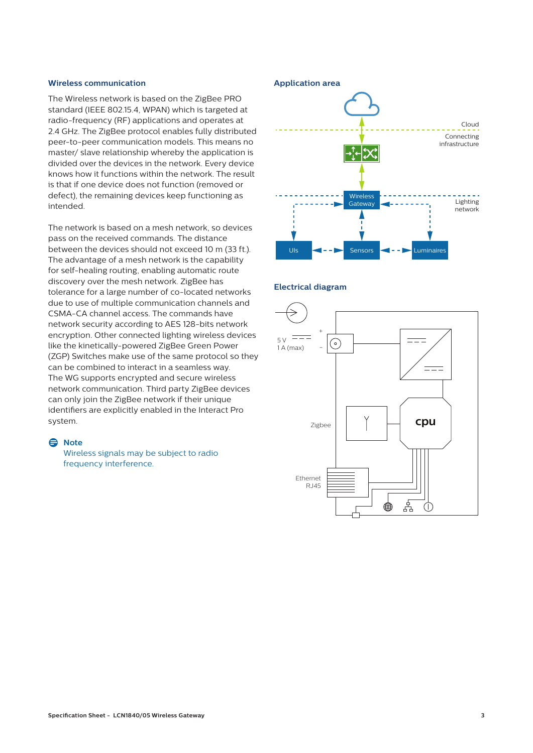# **Wireless communication**

The Wireless network is based on the ZigBee PRO standard (IEEE 802.15.4, WPAN) which is targeted at radio-frequency (RF) applications and operates at 2.4 GHz. The ZigBee protocol enables fully distributed peer-to-peer communication models. This means no master/ slave relationship whereby the application is divided over the devices in the network. Every device knows how it functions within the network. The result is that if one device does not function (removed or defect), the remaining devices keep functioning as intended.

The network is based on a mesh network, so devices pass on the received commands. The distance between the devices should not exceed 10 m (33 ft.). The advantage of a mesh network is the capability for self-healing routing, enabling automatic route discovery over the mesh network. ZigBee has tolerance for a large number of co-located networks due to use of multiple communication channels and CSMA-CA channel access. The commands have network security according to AES 128-bits network encryption. Other connected lighting wireless devices like the kinetically-powered ZigBee Green Power (ZGP) Switches make use of the same protocol so they can be combined to interact in a seamless way. The WG supports encrypted and secure wireless network communication. Third party ZigBee devices can only join the ZigBee network if their unique identifiers are explicitly enabled in the Interact Pro system.

#### D **Note**

Wireless signals may be subject to radio frequency interference.



#### **Electrical diagram**

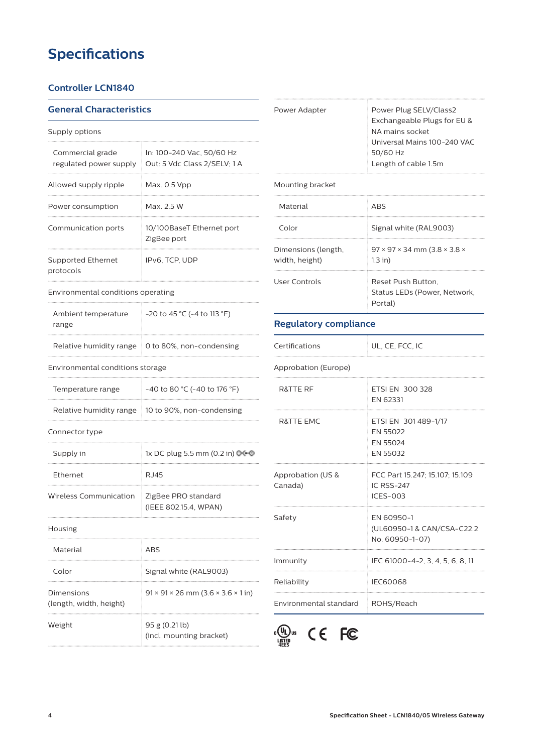# **Specifications**

# **Controller LCN1840**

# **General Characteristics**

| Supply options                             |                                                           |  |  |  |
|--------------------------------------------|-----------------------------------------------------------|--|--|--|
| Commercial grade<br>regulated power supply | In: 100-240 Vac, 50/60 Hz<br>Out: 5 Vdc Class 2/SELV; 1 A |  |  |  |
| Allowed supply ripple                      | Max. 0.5 Vpp                                              |  |  |  |
| Power consumption                          | $Max$ 25 W                                                |  |  |  |
| Communication ports                        | 10/100BaseT Ethernet port<br>ZigBee port                  |  |  |  |
| Supported Ethernet<br>protocols            | IPv6. TCP. UDP                                            |  |  |  |

#### Environmental conditions operating

| Ambient temperature<br>range | $-20$ to 45 °C ( $-4$ to 113 °F)                       |  |  |
|------------------------------|--------------------------------------------------------|--|--|
|                              | Relative humidity range $\pm 0$ to 80%, non-condensing |  |  |

# Environmental conditions storage

| Temperature range | $-40$ to 80 °C (-40 to 176 °F)                    |
|-------------------|---------------------------------------------------|
|                   | Relative humidity range 10 to 90%, non-condensing |

#### Connector type

| Supply in              | 1x DC plug 5.5 mm (0.2 in) 000               |
|------------------------|----------------------------------------------|
| <b>Ethernet</b>        | R.J45                                        |
| Wireless Communication | ZigBee PRO standard<br>(IEEE 802.15.4, WPAN) |
| Housing                |                                              |

# Material ABS Color Signal white (RAL9003)  $91 \times 91 \times 26$  mm  $(3.6 \times 3.6 \times 1)$  in) Dimensions (length, width, height) Weight 95 g (0.21 lb)



| Power Adapter | Power Plug SELV/Class2<br>Exchangeable Plugs for EU & |  |
|---------------|-------------------------------------------------------|--|
|               | NA mains socket                                       |  |
|               | Universal Mains 100-240 VAC                           |  |
|               | 50/60 Hz                                              |  |
|               | Length of cable 1.5m                                  |  |
|               |                                                       |  |

# Mounting bracket

| Material                              | <b>ARS</b>                                                          |
|---------------------------------------|---------------------------------------------------------------------|
| Color                                 | Signal white (RAL9003)                                              |
| Dimensions (length,<br>width, height) | $97 \times 97 \times 34$ mm (3.8 $\times$ 3.8 $\times$<br>$1.3$ in) |
| User Controls                         | Reset Push Button.<br>Status LEDs (Power, Network,<br>Portal)       |

# **Regulatory compliance**

| Certifications | UL, CE, FCC, IC |
|----------------|-----------------|
|                |                 |

#### Approbation (Europe)

| <b>R&amp;TTE RF</b>               | ETSI EN 300 328                                                    |
|-----------------------------------|--------------------------------------------------------------------|
|                                   | EN 62331                                                           |
| R&TTE EMC                         | ETSI EN 301 489-1/17<br>EN 55022<br>EN 55024<br><b>FN 55032</b>    |
| Approbation (US &<br>Canada)      | FCC Part 15.247; 15.107; 15.109<br><b>IC RSS-247</b><br>$ICFS-003$ |
| Safety                            | EN 60950-1<br>(UL60950-1& CAN/CSA-C22.2<br>No. 60950-1-07)         |
| Immunity                          | IEC 61000-4-2, 3, 4, 5, 6, 8, 11                                   |
| Reliability                       | IFC60068                                                           |
| Environmental standard ROHS/Reach |                                                                    |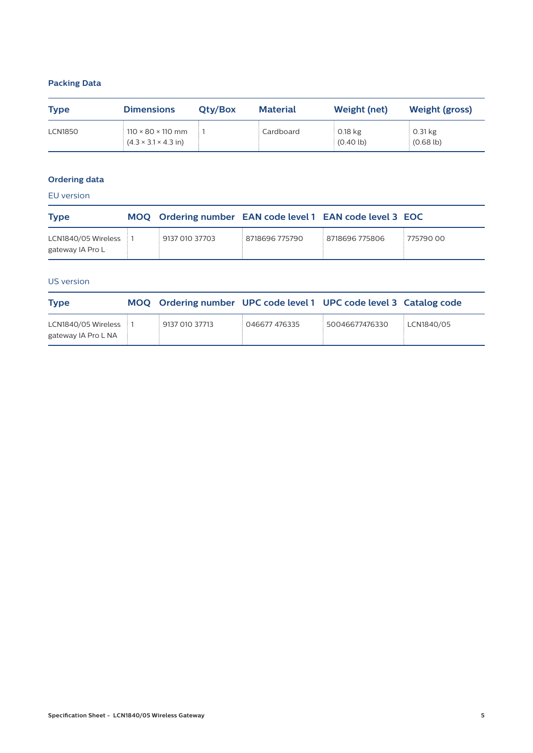# **Packing Data**

| <b>Type</b>    | <b>Dimensions</b>                                                         |  | <b>Material</b> | <b>Weight (net)</b>              | <b>Weight (gross)</b>       |  |
|----------------|---------------------------------------------------------------------------|--|-----------------|----------------------------------|-----------------------------|--|
| <b>LCN1850</b> | $110 \times 80 \times 110$ mm<br>$(4.3 \times 3.1 \times 4.3 \text{ in})$ |  | Cardboard       | $0.18$ kg<br>$(0.40 \text{ lb})$ | $0.31$ kg<br>$(0.68 \, lb)$ |  |

# **Ordering data**

EU version

| <b>Type</b>                               | MOQ Ordering number EAN code level 1 EAN code level 3 EOC |                |                |           |
|-------------------------------------------|-----------------------------------------------------------|----------------|----------------|-----------|
| LCN1840/05 Wireless 1<br>gateway IA Pro L | 9137 010 37703                                            | 8718696 775790 | 8718696 775806 | 775790 00 |

# US version

| <b>Type</b>                                | MOQ Ordering number UPC code level 1 UPC code level 3 Catalog code |               |                |            |
|--------------------------------------------|--------------------------------------------------------------------|---------------|----------------|------------|
| LCN1840/05 Wireless<br>gateway IA Pro L NA | 9137 010 37713                                                     | 046677 476335 | 50046677476330 | LCN1840/05 |